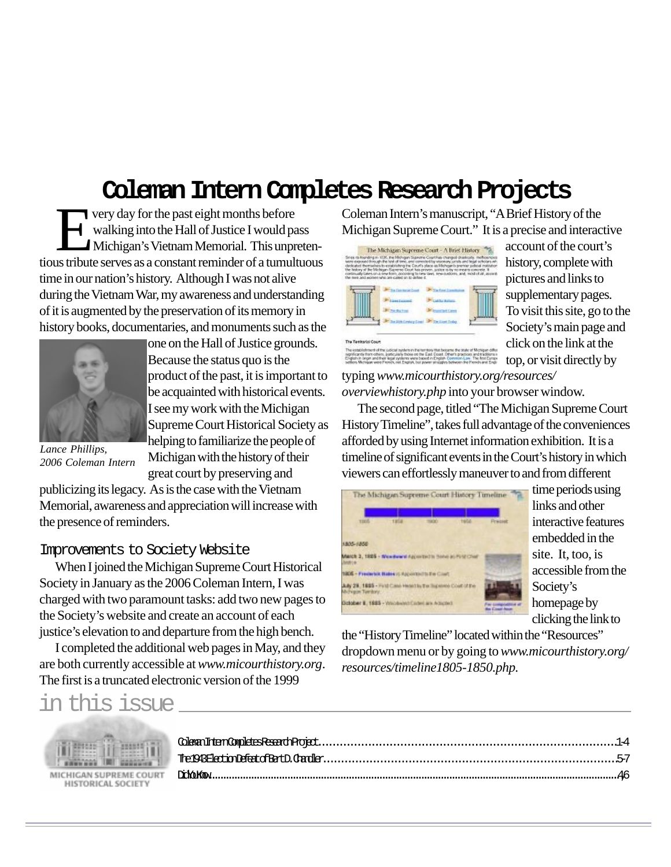# **Coleman Intern Completes Research Projects**

The Tenharial Coun

significantly them others, particularly those on th<br>English in origin and their legal systems were b<br>settlers Michigan with French, reit English, but

very day for the past eight months before<br>walking into the Hall of Justice I would particle with<br>Michigan's Vietnam Memorial. This unput walking into the Hall of Justice I would pass Michigan's Vietnam Memorial. This unpretentious tribute serves as a constant reminder of a tumultuous time in our nation's history. Although I was not alive during the Vietnam War, my awareness and understanding of it is augmented by the preservation of its memory in history books, documentaries, and monuments such as the



one on the Hall of Justice grounds. Because the status quo is the product of the past, it is important to be acquainted with historical events. I see my work with the Michigan Supreme Court Historical Society as helping to familiarize the people of Michigan with the history of their great court by preserving and

*Lance Phillips, 2006 Coleman Intern*

publicizing its legacy. As is the case with the Vietnam Memorial, awareness and appreciation will increase with the presence of reminders.

#### Improvements to Society Website

When I joined the Michigan Supreme Court Historical Society in January as the 2006 Coleman Intern, I was charged with two paramount tasks: add two new pages to the Society's website and create an account of each justice's elevation to and departure from the high bench.

I completed the additional web pages in May, and they are both currently accessible at *www.micourthistory.org*. The first is a truncated electronic version of the 1999

Coleman Intern's manuscript, "A Brief History of the Michigan Supreme Court." It is a precise and interactive



account of the court's history, complete with pictures and links to supplementary pages. To visit this site, go to the Society's main page and click on the link at the top, or visit directly by

typing *www.micourthistory.org/resources/ overviewhistory.php* into your browser window.

The second page, titled "The Michigan Supreme Court History Timeline", takes full advantage of the conveniences afforded by using Internet information exhibition. It is a timeline of significant events in the Court's history in which viewers can effortlessly maneuver to and from different

|                                                                                    |             | The Michigan Supreme Court History Timeline |        |                                              |
|------------------------------------------------------------------------------------|-------------|---------------------------------------------|--------|----------------------------------------------|
| 11ES.                                                                              | <b>TRIA</b> | uu i                                        | tsidat | <b>Pressure</b>                              |
|                                                                                    |             |                                             |        |                                              |
| 1805-1850                                                                          |             |                                             |        |                                              |
| March 3, 1805 - Weedward Agented is bene at Pint Chat<br>Jonfrom                   |             |                                             |        |                                              |
| 1806 - Frederick Bales (CAppendicity De Court                                      |             |                                             |        |                                              |
| Ady 28, 1885 - First Case Heart In the Superior Cout of the<br>Michigan Territory. |             |                                             |        |                                              |
| Dotober E. 1985 - Wilcibent Clidet are Adupted                                     |             |                                             |        | For composition of<br><b>Bar Count Asset</b> |

time periods using links and other interactive features embedded in the site. It, too, is accessible from the Society's homepage by clicking the link to

the "History Timeline" located within the "Resources" dropdown menu or by going to *www.micourthistory.org/ resources/timeline1805-1850.php*.

### in this issue



MICHIGAN SUPREME COURT HISTORICAL SOCIETY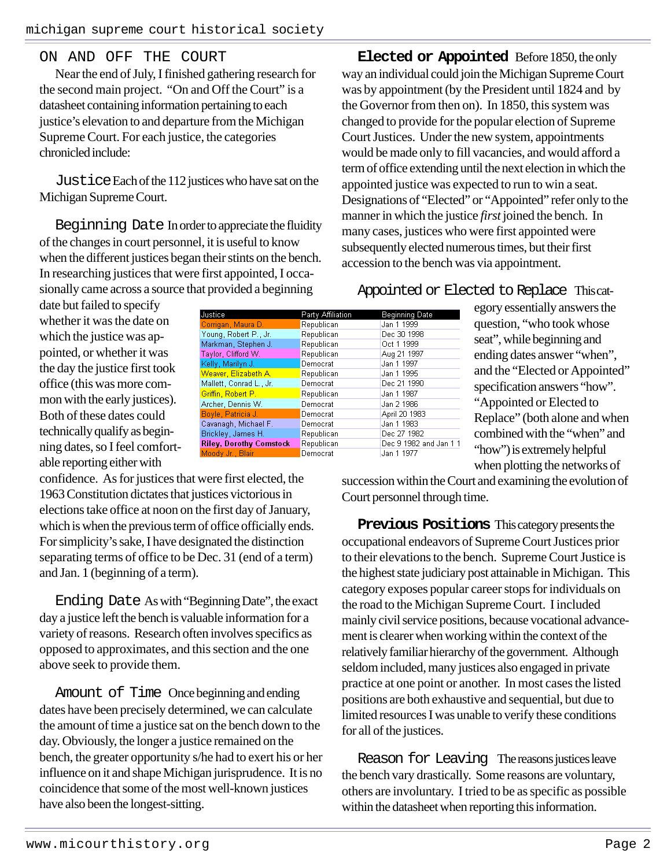### ON AND OFF THE COURT

Near the end of July, I finished gathering research for the second main project. "On and Off the Court" is a datasheet containing information pertaining to each justice's elevation to and departure from the Michigan Supreme Court. For each justice, the categories chronicled include:

JusticeEach of the 112 justices who have sat on the Michigan Supreme Court.

Beginning Date In order to appreciate the fluidity of the changes in court personnel, it is useful to know when the different justices began their stints on the bench. In researching justices that were first appointed, I occasionally came across a source that provided a beginning

**Elected or Appointed** Before 1850, the only way an individual could join the Michigan Supreme Court was by appointment (by the President until 1824 and by the Governor from then on). In 1850, this system was changed to provide for the popular election of Supreme Court Justices. Under the new system, appointments would be made only to fill vacancies, and would afford a term of office extending until the next election in which the appointed justice was expected to run to win a seat. Designations of "Elected" or "Appointed" refer only to the manner in which the justice *first* joined the bench. In many cases, justices who were first appointed were subsequently elected numerous times, but their first accession to the bench was via appointment.

## Appointed or Elected to Replace This cat-

date but failed to specify whether it was the date on which the justice was appointed, or whether it was the day the justice first took office (this was more common with the early justices). Both of these dates could technically qualify as beginning dates, so I feel comfortable reporting either with

confidence. As for justices that were first elected, the 1963 Constitution dictates that justices victorious in elections take office at noon on the first day of January, which is when the previous term of office officially ends. For simplicity's sake, I have designated the distinction separating terms of office to be Dec. 31 (end of a term) and Jan. 1 (beginning of a term).

Ending Date As with "Beginning Date", the exact day a justice left the bench is valuable information for a variety of reasons. Research often involves specifics as opposed to approximates, and this section and the one above seek to provide them.

Amount of Time Once beginning and ending dates have been precisely determined, we can calculate the amount of time a justice sat on the bench down to the day. Obviously, the longer a justice remained on the bench, the greater opportunity s/he had to exert his or her influence on it and shape Michigan jurisprudence. It is no coincidence that some of the most well-known justices have also been the longest-sitting.

Justice Party Affiliati **Beginning Date** Jan 1 1999 Republican Young, Robert P., Jr. Republican Dec 30 1998 Markman, Stephen J. Republican Oct 1 1999 Aug 21 1997 Taylor, Clifford W. Republican Kelly, Marilyn J. Democrat Jan 1 1997 Weaver, Elizabeth A. Republican Jan 1 1995 Mallett, Conrad L., Jr. Democrat Dec 21 1990 Griffin, Robert P. Republican Jan 1 1987 Archer, Dennis W. Democrat Jan 2 1986 Boyle, Patricia J Democrat April 20 1983 Cavanagh, Michael F Jan 1 1983 Democrat Brickley, James H. Dec 27 1982 Republican Dec 9 1982 and Jan 1 1 **Riley, Dorothy Comstock** Republican Moody Jr., Blair Democrat Jan 1 1977

egory essentially answers the question, "who took whose seat", while beginning and ending dates answer "when", and the "Elected or Appointed" specification answers "how". "Appointed or Elected to Replace" (both alone and when combined with the "when" and "how") is extremely helpful when plotting the networks of

succession within the Court and examining the evolution of Court personnel through time.

**Previous Positions** This category presents the occupational endeavors of Supreme Court Justices prior to their elevations to the bench. Supreme Court Justice is the highest state judiciary post attainable in Michigan. This category exposes popular career stops for individuals on the road to the Michigan Supreme Court. I included mainly civil service positions, because vocational advancement is clearer when working within the context of the relatively familiar hierarchy of the government. Although seldom included, many justices also engaged in private practice at one point or another. In most cases the listed positions are both exhaustive and sequential, but due to limited resources I was unable to verify these conditions for all of the justices.

Reason for Leaving The reasons justices leave the bench vary drastically. Some reasons are voluntary, others are involuntary. I tried to be as specific as possible within the datasheet when reporting this information.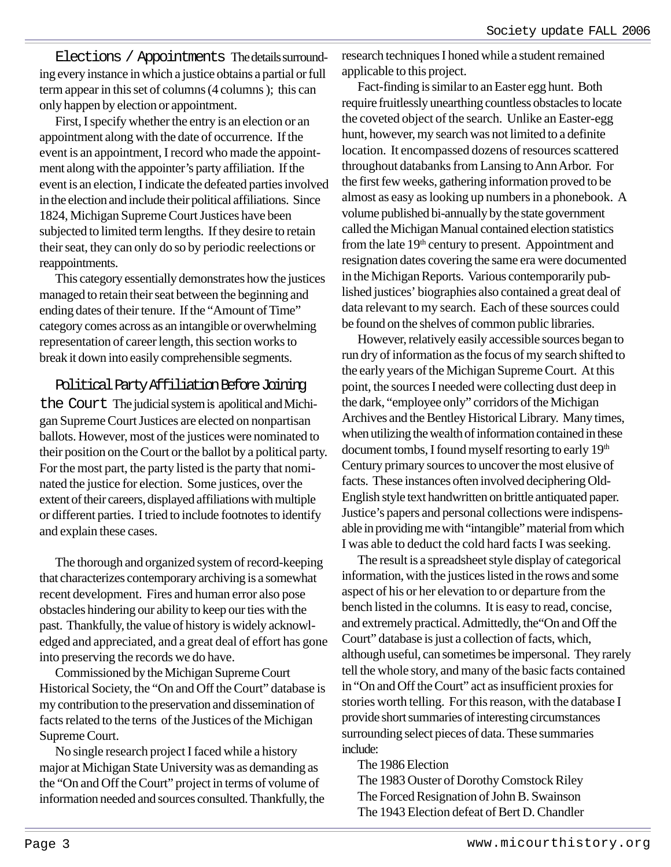Elections / Appointments The details surrounding every instance in which a justice obtains a partial or full term appear in this set of columns (4 columns ); this can only happen by election or appointment.

First, I specify whether the entry is an election or an appointment along with the date of occurrence. If the event is an appointment, I record who made the appointment along with the appointer's party affiliation. If the event is an election, I indicate the defeated parties involved in the election and include their political affiliations. Since 1824, Michigan Supreme Court Justices have been subjected to limited term lengths. If they desire to retain their seat, they can only do so by periodic reelections or reappointments.

This category essentially demonstrates how the justices managed to retain their seat between the beginning and ending dates of their tenure. If the "Amount of Time" category comes across as an intangible or overwhelming representation of career length, this section works to break it down into easily comprehensible segments.

Political Party Affiliation Before Joining the Court The judicial system is apolitical and Michigan Supreme Court Justices are elected on nonpartisan ballots. However, most of the justices were nominated to their position on the Court or the ballot by a political party. For the most part, the party listed is the party that nominated the justice for election. Some justices, over the extent of their careers, displayed affiliations with multiple or different parties. I tried to include footnotes to identify and explain these cases.

The thorough and organized system of record-keeping that characterizes contemporary archiving is a somewhat recent development. Fires and human error also pose obstacles hindering our ability to keep our ties with the past. Thankfully, the value of history is widely acknowledged and appreciated, and a great deal of effort has gone into preserving the records we do have.

Commissioned by the Michigan Supreme Court Historical Society, the "On and Off the Court" database is my contribution to the preservation and dissemination of facts related to the terns of the Justices of the Michigan Supreme Court.

No single research project I faced while a history major at Michigan State University was as demanding as the "On and Off the Court" project in terms of volume of information needed and sources consulted. Thankfully, the research techniques I honed while a student remained applicable to this project.

Fact-finding is similar to an Easter egg hunt. Both require fruitlessly unearthing countless obstacles to locate the coveted object of the search. Unlike an Easter-egg hunt, however, my search was not limited to a definite location. It encompassed dozens of resources scattered throughout databanks from Lansing to Ann Arbor. For the first few weeks, gathering information proved to be almost as easy as looking up numbers in a phonebook. A volume published bi-annually by the state government called the Michigan Manual contained election statistics from the late 19<sup>th</sup> century to present. Appointment and resignation dates covering the same era were documented in the Michigan Reports. Various contemporarily published justices' biographies also contained a great deal of data relevant to my search. Each of these sources could be found on the shelves of common public libraries.

However, relatively easily accessible sources began to run dry of information as the focus of my search shifted to the early years of the Michigan Supreme Court. At this point, the sources I needed were collecting dust deep in the dark, "employee only" corridors of the Michigan Archives and the Bentley Historical Library. Many times, when utilizing the wealth of information contained in these document tombs, I found myself resorting to early 19<sup>th</sup> Century primary sources to uncover the most elusive of facts. These instances often involved deciphering Old-English style text handwritten on brittle antiquated paper. Justice's papers and personal collections were indispensable in providing me with "intangible" material from which I was able to deduct the cold hard facts I was seeking.

The result is a spreadsheet style display of categorical information, with the justices listed in the rows and some aspect of his or her elevation to or departure from the bench listed in the columns. It is easy to read, concise, and extremely practical. Admittedly, the"On and Off the Court" database is just a collection of facts, which, although useful, can sometimes be impersonal. They rarely tell the whole story, and many of the basic facts contained in "On and Off the Court" act as insufficient proxies for stories worth telling. For this reason, with the database I provide short summaries of interesting circumstances surrounding select pieces of data. These summaries include:

### The 1986 Election

The 1983 Ouster of Dorothy Comstock Riley The Forced Resignation of John B. Swainson The 1943 Election defeat of Bert D. Chandler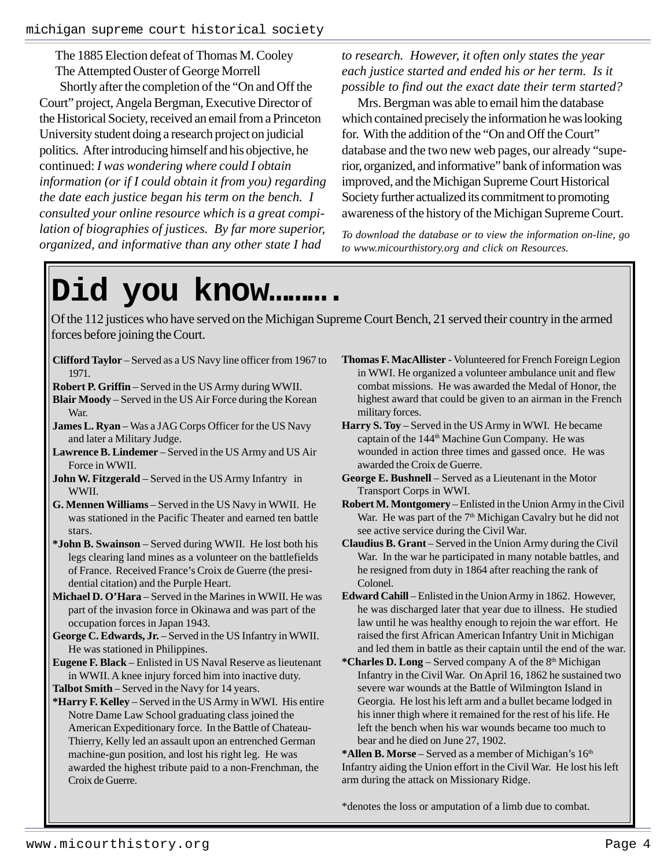The 1885 Election defeat of Thomas M. Cooley The Attempted Ouster of George Morrell Shortly after the completion of the "On and Off the Court" project, Angela Bergman, Executive Director of the Historical Society, received an email from a Princeton University student doing a research project on judicial politics. After introducing himself and his objective, he continued: *I was wondering where could I obtain information (or if I could obtain it from you) regarding the date each justice began his term on the bench. I consulted your online resource which is a great compilation of biographies of justices. By far more superior, organized, and informative than any other state I had*

*to research. However, it often only states the year each justice started and ended his or her term. Is it possible to find out the exact date their term started?*

Mrs. Bergman was able to email him the database which contained precisely the information he was looking for. With the addition of the "On and Off the Court" database and the two new web pages, our already "superior, organized, and informative" bank of information was improved, and the Michigan Supreme Court Historical Society further actualized its commitment to promoting awareness of the history of the Michigan Supreme Court.

*To download the database or to view the information on-line, go to www.micourthistory.org and click on Resources.*

# **Did you know……….**

Of the 112 justices who have served on the Michigan Supreme Court Bench, 21 served their country in the armed forces before joining the Court.

- **Clifford Taylor** Served as a US Navy line officer from 1967 to 1971.
- **Robert P. Griffin** Served in the US Army during WWII.
- **Blair Moody** Served in the US Air Force during the Korean War.
- **James L. Ryan** Was a JAG Corps Officer for the US Navy and later a Military Judge.
- **Lawrence B. Lindemer** Served in the US Army and US Air Force in WWII.
- **John W. Fitzgerald** Served in the US Army Infantry in WWII.
- **G. Mennen Williams** Served in the US Navy in WWII. He was stationed in the Pacific Theater and earned ten battle stars.
- **\*John B. Swainson** Served during WWII. He lost both his legs clearing land mines as a volunteer on the battlefields of France. Received France's Croix de Guerre (the presidential citation) and the Purple Heart.
- **Michael D. O'Hara** Served in the Marines in WWII. He was part of the invasion force in Okinawa and was part of the occupation forces in Japan 1943.
- **George C. Edwards, Jr.** Served in the US Infantry in WWII. He was stationed in Philippines.
- **Eugene F. Black** Enlisted in US Naval Reserve as lieutenant in WWII. A knee injury forced him into inactive duty.
- **Talbot Smith**  Served in the Navy for 14 years.
- **\*Harry F. Kelley** Served in the US Army in WWI. His entire Notre Dame Law School graduating class joined the American Expeditionary force. In the Battle of Chateau-Thierry, Kelly led an assault upon an entrenched German machine-gun position, and lost his right leg. He was awarded the highest tribute paid to a non-Frenchman, the Croix de Guerre.
- **Thomas F. MacAllister** Volunteered for French Foreign Legion in WWI. He organized a volunteer ambulance unit and flew combat missions. He was awarded the Medal of Honor, the highest award that could be given to an airman in the French military forces.
- **Harry S. Toy** Served in the US Army in WWI. He became captain of the 144<sup>th</sup> Machine Gun Company. He was wounded in action three times and gassed once. He was awarded the Croix de Guerre.
- **George E. Bushnell** Served as a Lieutenant in the Motor Transport Corps in WWI.
- **Robert M. Montgomery** Enlisted in the Union Army in the Civil War. He was part of the  $7<sup>th</sup>$  Michigan Cavalry but he did not see active service during the Civil War.
- **Claudius B. Grant** Served in the Union Army during the Civil War. In the war he participated in many notable battles, and he resigned from duty in 1864 after reaching the rank of Colonel.
- **Edward Cahill** Enlisted in the Union Army in 1862. However, he was discharged later that year due to illness. He studied law until he was healthy enough to rejoin the war effort. He raised the first African American Infantry Unit in Michigan and led them in battle as their captain until the end of the war.
- \***Charles D. Long** Served company A of the 8<sup>th</sup> Michigan Infantry in the Civil War. On April 16, 1862 he sustained two severe war wounds at the Battle of Wilmington Island in Georgia. He lost his left arm and a bullet became lodged in his inner thigh where it remained for the rest of his life. He left the bench when his war wounds became too much to bear and he died on June 27, 1902.

\***Allen B. Morse** – Served as a member of Michigan's 16<sup>th</sup> Infantry aiding the Union effort in the Civil War. He lost his left arm during the attack on Missionary Ridge.

\*denotes the loss or amputation of a limb due to combat.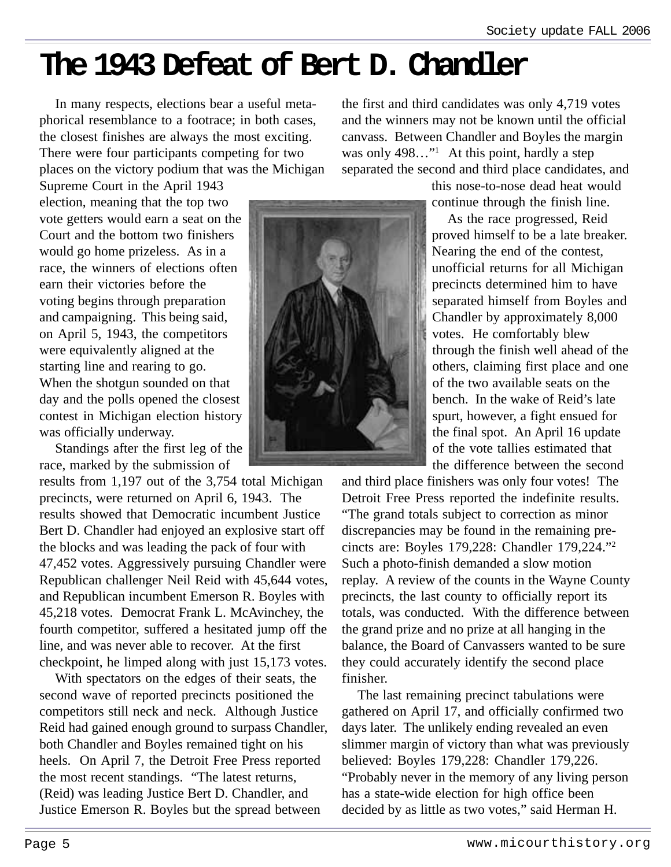# **The 1943 Defeat of Bert D. Chandler**

In many respects, elections bear a useful metaphorical resemblance to a footrace; in both cases, the closest finishes are always the most exciting. There were four participants competing for two places on the victory podium that was the Michigan

Supreme Court in the April 1943 election, meaning that the top two vote getters would earn a seat on the Court and the bottom two finishers would go home prizeless. As in a race, the winners of elections often earn their victories before the voting begins through preparation and campaigning. This being said, on April 5, 1943, the competitors were equivalently aligned at the starting line and rearing to go. When the shotgun sounded on that day and the polls opened the closest contest in Michigan election history was officially underway.

Standings after the first leg of the race, marked by the submission of

results from 1,197 out of the 3,754 total Michigan precincts, were returned on April 6, 1943. The results showed that Democratic incumbent Justice Bert D. Chandler had enjoyed an explosive start off the blocks and was leading the pack of four with 47,452 votes. Aggressively pursuing Chandler were Republican challenger Neil Reid with 45,644 votes, and Republican incumbent Emerson R. Boyles with 45,218 votes. Democrat Frank L. McAvinchey, the fourth competitor, suffered a hesitated jump off the line, and was never able to recover. At the first checkpoint, he limped along with just 15,173 votes.

With spectators on the edges of their seats, the second wave of reported precincts positioned the competitors still neck and neck. Although Justice Reid had gained enough ground to surpass Chandler, both Chandler and Boyles remained tight on his heels. On April 7, the Detroit Free Press reported the most recent standings. "The latest returns, (Reid) was leading Justice Bert D. Chandler, and Justice Emerson R. Boyles but the spread between

the first and third candidates was only 4,719 votes and the winners may not be known until the official canvass. Between Chandler and Boyles the margin was only 498..."<sup>1</sup> At this point, hardly a step separated the second and third place candidates, and

this nose-to-nose dead heat would continue through the finish line.

As the race progressed, Reid proved himself to be a late breaker. Nearing the end of the contest, unofficial returns for all Michigan precincts determined him to have separated himself from Boyles and Chandler by approximately 8,000 votes. He comfortably blew through the finish well ahead of the others, claiming first place and one of the two available seats on the bench. In the wake of Reid's late spurt, however, a fight ensued for the final spot. An April 16 update of the vote tallies estimated that the difference between the second

and third place finishers was only four votes! The Detroit Free Press reported the indefinite results. "The grand totals subject to correction as minor discrepancies may be found in the remaining precincts are: Boyles 179,228: Chandler 179,224."2 Such a photo-finish demanded a slow motion replay. A review of the counts in the Wayne County precincts, the last county to officially report its totals, was conducted. With the difference between the grand prize and no prize at all hanging in the balance, the Board of Canvassers wanted to be sure they could accurately identify the second place finisher.

The last remaining precinct tabulations were gathered on April 17, and officially confirmed two days later. The unlikely ending revealed an even slimmer margin of victory than what was previously believed: Boyles 179,228: Chandler 179,226. "Probably never in the memory of any living person has a state-wide election for high office been decided by as little as two votes," said Herman H.

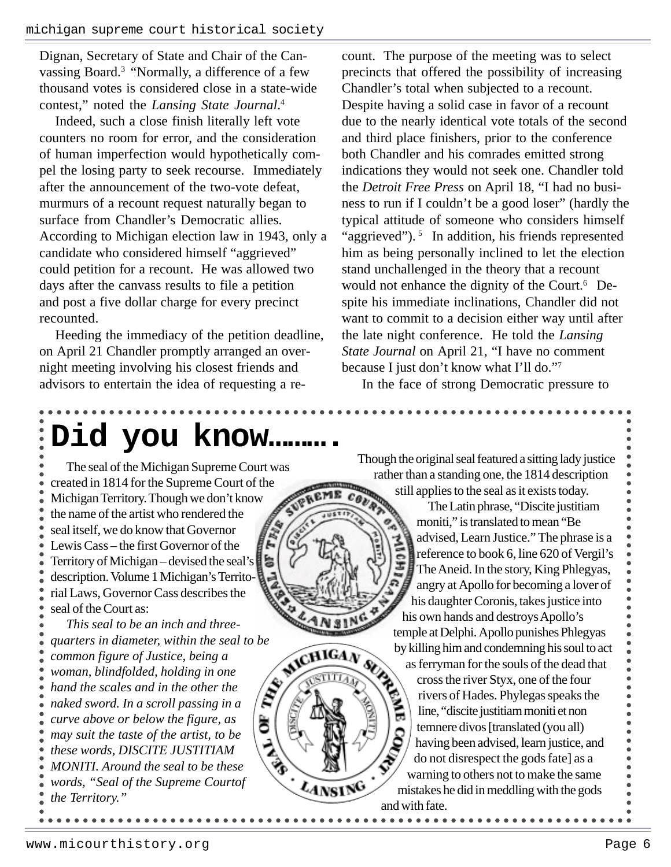Dignan, Secretary of State and Chair of the Canvassing Board.3 "Normally, a difference of a few thousand votes is considered close in a state-wide contest," noted the *Lansing State Journal*. 4

Indeed, such a close finish literally left vote counters no room for error, and the consideration of human imperfection would hypothetically compel the losing party to seek recourse. Immediately after the announcement of the two-vote defeat, murmurs of a recount request naturally began to surface from Chandler's Democratic allies. According to Michigan election law in 1943, only a candidate who considered himself "aggrieved" could petition for a recount. He was allowed two days after the canvass results to file a petition and post a five dollar charge for every precinct recounted.

Heeding the immediacy of the petition deadline, on April 21 Chandler promptly arranged an overnight meeting involving his closest friends and advisors to entertain the idea of requesting a recount. The purpose of the meeting was to select precincts that offered the possibility of increasing Chandler's total when subjected to a recount. Despite having a solid case in favor of a recount due to the nearly identical vote totals of the second and third place finishers, prior to the conference both Chandler and his comrades emitted strong indications they would not seek one. Chandler told the *Detroit Free Press* on April 18, "I had no business to run if I couldn't be a good loser" (hardly the typical attitude of someone who considers himself "aggrieved").  $5 \text{ In addition, his friends represented}$ him as being personally inclined to let the election stand unchallenged in the theory that a recount would not enhance the dignity of the Court.<sup>6</sup> Despite his immediate inclinations, Chandler did not want to commit to a decision either way until after the late night conference. He told the *Lansing State Journal* on April 21, "I have no comment because I just don't know what I'll do."7

In the face of strong Democratic pressure to

# **Did you know……….**

MICH

LANSING

The seal of the Michigan Supreme Court was created in 1814 for the Supreme Court of the Michigan Territory. Though we don't know the name of the artist who rendered the seal itself, we do know that Governor Lewis Cass – the first Governor of the Territory of Michigan – devised the seal's description. Volume 1 Michigan's Territorial Laws, Governor Cass describes the seal of the Court as:

*This seal to be an inch and threequarters in diameter, within the seal to be common figure of Justice, being a woman, blindfolded, holding in one*  $\mathscr{E}'$ *hand the scales and in the other the naked sword. In a scroll passing in a curve above or below the figure, as* ð *may suit the taste of the artist, to be these words, DISCITE JUSTITIAM MONITI. Around the seal to be these words, "Seal of the Supreme Courtof the Territory."*

Though the original seal featured a sitting lady justice rather than a standing one, the 1814 description still applies to the seal as it exists today.

The Latin phrase, "Discite justitiam moniti," is translated to mean "Be advised, Learn Justice." The phrase is a reference to book 6, line 620 of Vergil's The Aneid. In the story, King Phlegyas, angry at Apollo for becoming a lover of his daughter Coronis, takes justice into his own hands and destroys Apollo's temple at Delphi. Apollo punishes Phlegyas by killing him and condemning his soul to act as ferryman for the souls of the dead that cross the river Styx, one of the four rivers of Hades. Phylegas speaks the Š line, "discite justitiam moniti et non temnere divos [translated (you all) having been advised, learn justice, and do not disrespect the gods fate] as a warning to others not to make the same mistakes he did in meddling with the gods and with fate.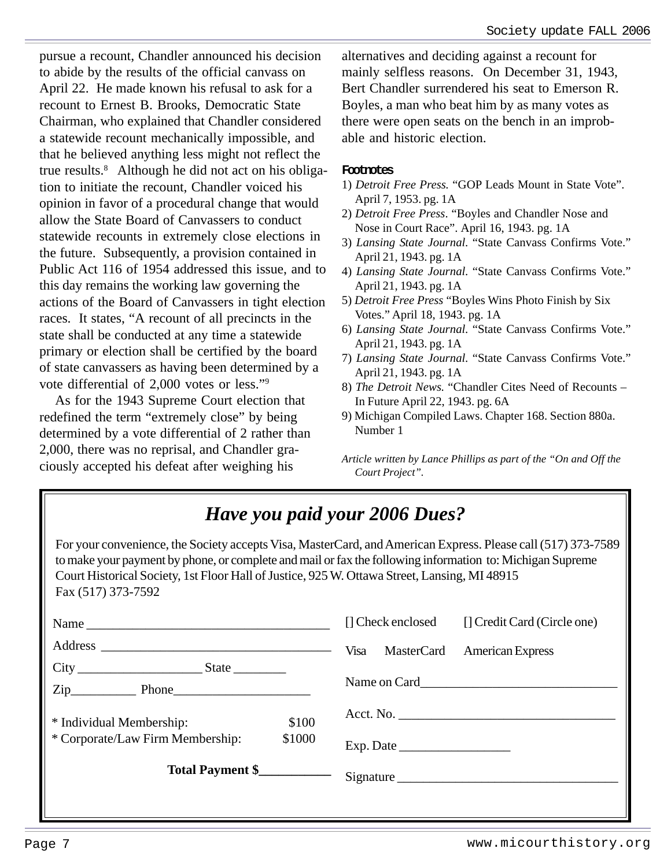pursue a recount, Chandler announced his decision to abide by the results of the official canvass on April 22. He made known his refusal to ask for a recount to Ernest B. Brooks, Democratic State Chairman, who explained that Chandler considered a statewide recount mechanically impossible, and that he believed anything less might not reflect the true results.8 Although he did not act on his obligation to initiate the recount, Chandler voiced his opinion in favor of a procedural change that would allow the State Board of Canvassers to conduct statewide recounts in extremely close elections in the future. Subsequently, a provision contained in Public Act 116 of 1954 addressed this issue, and to this day remains the working law governing the actions of the Board of Canvassers in tight election races. It states, "A recount of all precincts in the state shall be conducted at any time a statewide primary or election shall be certified by the board of state canvassers as having been determined by a vote differential of 2,000 votes or less."9

As for the 1943 Supreme Court election that redefined the term "extremely close" by being determined by a vote differential of 2 rather than 2,000, there was no reprisal, and Chandler graciously accepted his defeat after weighing his

alternatives and deciding against a recount for mainly selfless reasons. On December 31, 1943, Bert Chandler surrendered his seat to Emerson R. Boyles, a man who beat him by as many votes as there were open seats on the bench in an improbable and historic election.

### **Footnotes**

- 1) *Detroit Free Press.* "GOP Leads Mount in State Vote". April 7, 1953. pg. 1A
- 2) *Detroit Free Press*. "Boyles and Chandler Nose and Nose in Court Race". April 16, 1943. pg. 1A
- 3) *Lansing State Journal*. "State Canvass Confirms Vote." April 21, 1943. pg. 1A
- 4) *Lansing State Journal*. "State Canvass Confirms Vote." April 21, 1943. pg. 1A
- 5) *Detroit Free Press* "Boyles Wins Photo Finish by Six Votes." April 18, 1943. pg. 1A
- 6) *Lansing State Journal*. "State Canvass Confirms Vote." April 21, 1943. pg. 1A
- 7) *Lansing State Journal*. "State Canvass Confirms Vote." April 21, 1943. pg. 1A
- 8) *The Detroit News.* "Chandler Cites Need of Recounts In Future April 22, 1943. pg. 6A
- 9) Michigan Compiled Laws. Chapter 168. Section 880a. Number 1

*Article written by Lance Phillips as part of the "On and Off the Court Project".*

# *Have you paid your 2006 Dues?*

For your convenience, the Society accepts Visa, MasterCard, and American Express. Please call (517) 373-7589 to make your payment by phone, or complete and mail or fax the following information to: Michigan Supreme Court Historical Society, 1st Floor Hall of Justice, 925 W. Ottawa Street, Lansing, MI 48915 Fax (517) 373-7592

|                                            | [] Check enclosed<br>[] Credit Card (Circle one) |
|--------------------------------------------|--------------------------------------------------|
|                                            | Visa MasterCard<br>American Express              |
| $Zip$ Phone                                |                                                  |
| \$100<br>* Individual Membership:          |                                                  |
| * Corporate/Law Firm Membership:<br>\$1000 | Exp. Date                                        |
| Total Payment \$                           | Signature                                        |